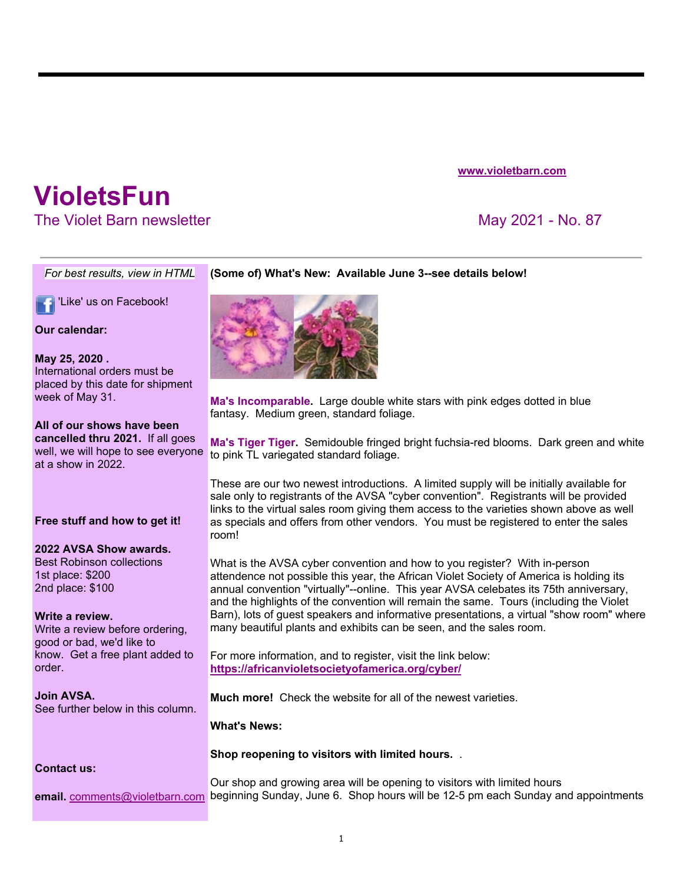**www.violetbarn.com**

# **VioletsFun**

The Violet Barn newsletter May 2021 - No. 87

#### *For best results, view in HTML* **(Some of) What's New: Available June 3--see details below!**

'Like' us on Facebook!

**Our calendar:**

#### **May 25, 2020 .**

International orders must be placed by this date for shipment week of May 31.

## **All of our shows have been**

**cancelled thru 2021.** If all goes well, we will hope to see everyone at a show in 2022.

### **Free stuff and how to get it!**

#### **2022 AVSA Show awards.**

Best Robinson collections 1st place: \$200 2nd place: \$100

#### **Write a review.**

Write a review before ordering, good or bad, we'd like to know. Get a free plant added to order.

**Join AVSA.**  See further below in this column.



**Ma's Incomparable.** Large double white stars with pink edges dotted in blue fantasy. Medium green, standard foliage.

**Ma's Tiger Tiger.** Semidouble fringed bright fuchsia-red blooms. Dark green and white to pink TL variegated standard foliage.

These are our two newest introductions. A limited supply will be initially available for sale only to registrants of the AVSA "cyber convention". Registrants will be provided links to the virtual sales room giving them access to the varieties shown above as well as specials and offers from other vendors. You must be registered to enter the sales room!

What is the AVSA cyber convention and how to you register? With in-person attendence not possible this year, the African Violet Society of America is holding its annual convention "virtually"--online. This year AVSA celebates its 75th anniversary, and the highlights of the convention will remain the same. Tours (including the Violet Barn), lots of guest speakers and informative presentations, a virtual "show room" where many beautiful plants and exhibits can be seen, and the sales room.

For more information, and to register, visit the link below: **https://africanvioletsocietyofamerica.org/cyber/**

**Much more!** Check the website for all of the newest varieties.

**What's News:**

### **Contact us:**

**email.** comments@violetbarn.com beginning Sunday, June 6. Shop hours will be 12-5 pm each Sunday and appointments Our shop and growing area will be opening to visitors with limited hours

**Shop reopening to visitors with limited hours.** .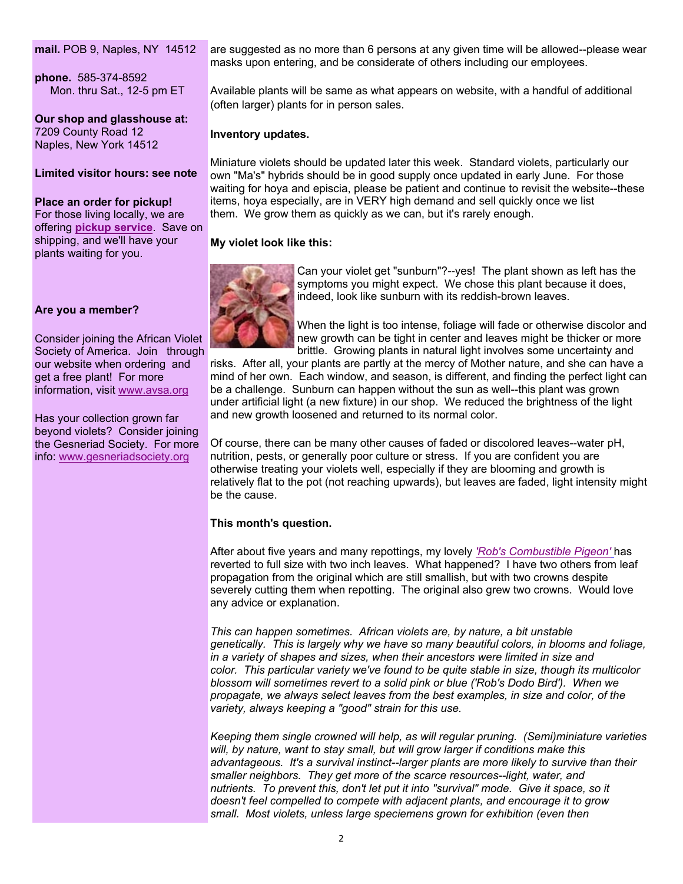**mail.** POB 9, Naples, NY 14512

**phone.** 585-374-8592 Mon. thru Sat., 12-5 pm ET

**Our shop and glasshouse at:**  7209 County Road 12 Naples, New York 14512

#### **Limited visitor hours: see note**

**Place an order for pickup!**  For those living locally, we are offering **pickup service**. Save on shipping, and we'll have your plants waiting for you.

#### **Are you a member?**

Consider joining the African Violet Society of America. Join through our website when ordering and get a free plant! For more information, visit www.avsa.org

Has your collection grown far beyond violets? Consider joining the Gesneriad Society. For more info: www.gesneriadsociety.org

are suggested as no more than 6 persons at any given time will be allowed--please wear masks upon entering, and be considerate of others including our employees.

Available plants will be same as what appears on website, with a handful of additional (often larger) plants for in person sales.

#### **Inventory updates.**

Miniature violets should be updated later this week. Standard violets, particularly our own "Ma's" hybrids should be in good supply once updated in early June. For those waiting for hoya and episcia, please be patient and continue to revisit the website--these items, hoya especially, are in VERY high demand and sell quickly once we list them. We grow them as quickly as we can, but it's rarely enough.

#### **My violet look like this:**



Can your violet get "sunburn"?--yes! The plant shown as left has the symptoms you might expect. We chose this plant because it does, indeed, look like sunburn with its reddish-brown leaves.

When the light is too intense, foliage will fade or otherwise discolor and new growth can be tight in center and leaves might be thicker or more brittle. Growing plants in natural light involves some uncertainty and

risks. After all, your plants are partly at the mercy of Mother nature, and she can have a mind of her own. Each window, and season, is different, and finding the perfect light can be a challenge. Sunburn can happen without the sun as well--this plant was grown under artificial light (a new fixture) in our shop. We reduced the brightness of the light and new growth loosened and returned to its normal color.

Of course, there can be many other causes of faded or discolored leaves--water pH, nutrition, pests, or generally poor culture or stress. If you are confident you are otherwise treating your violets well, especially if they are blooming and growth is relatively flat to the pot (not reaching upwards), but leaves are faded, light intensity might be the cause.

#### **This month's question.**

After about five years and many repottings, my lovely *'Rob's Combustible Pigeon'* has reverted to full size with two inch leaves. What happened? I have two others from leaf propagation from the original which are still smallish, but with two crowns despite severely cutting them when repotting. The original also grew two crowns. Would love any advice or explanation.

*This can happen sometimes. African violets are, by nature, a bit unstable genetically. This is largely why we have so many beautiful colors, in blooms and foliage, in a variety of shapes and sizes, when their ancestors were limited in size and color. This particular variety we've found to be quite stable in size, though its multicolor blossom will sometimes revert to a solid pink or blue ('Rob's Dodo Bird'). When we propagate, we always select leaves from the best examples, in size and color, of the variety, always keeping a "good" strain for this use.*

*Keeping them single crowned will help, as will regular pruning. (Semi)miniature varieties will, by nature, want to stay small, but will grow larger if conditions make this advantageous. It's a survival instinct--larger plants are more likely to survive than their smaller neighbors. They get more of the scarce resources--light, water, and nutrients. To prevent this, don't let put it into "survival" mode. Give it space, so it doesn't feel compelled to compete with adjacent plants, and encourage it to grow small. Most violets, unless large speciemens grown for exhibition (even then*